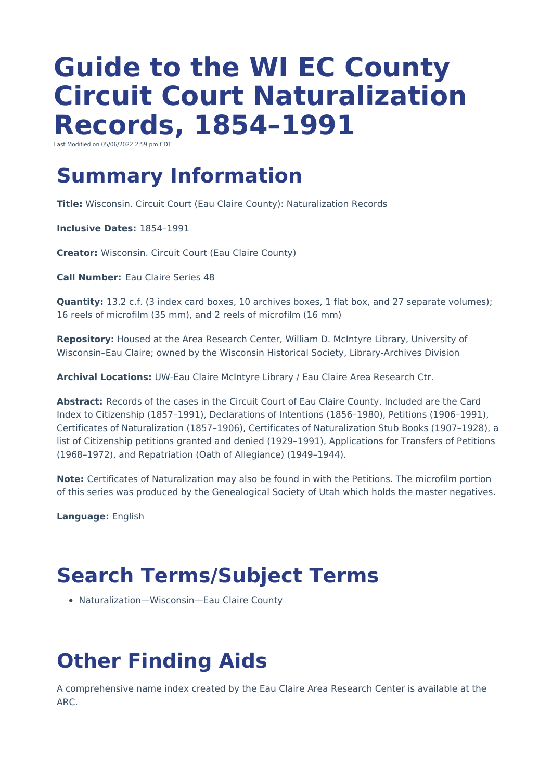# **Guide to the WI EC County Circuit Court Naturalization Records, 1854–1991**

Last Modified on 05/06/2022 2:59 pm CDT

# **Summary Information**

**Title:** Wisconsin. Circuit Court (Eau Claire County): Naturalization Records

**Inclusive Dates:** 1854–1991

**Creator:** Wisconsin. Circuit Court (Eau Claire County)

**Call Number:** Eau Claire Series 48

**Quantity:** 13.2 c.f. (3 index card boxes, 10 archives boxes, 1 flat box, and 27 separate volumes); 16 reels of microfilm (35 mm), and 2 reels of microfilm (16 mm)

**Repository:** Housed at the Area Research Center, William D. McIntyre Library, University of Wisconsin–Eau Claire; owned by the Wisconsin Historical Society, Library-Archives Division

**Archival Locations:** UW-Eau Claire McIntyre Library / Eau Claire Area Research Ctr.

**Abstract:** Records of the cases in the Circuit Court of Eau Claire County. Included are the Card Index to Citizenship (1857–1991), Declarations of Intentions (1856–1980), Petitions (1906–1991), Certificates of Naturalization (1857–1906), Certificates of Naturalization Stub Books (1907–1928), a list of Citizenship petitions granted and denied (1929–1991), Applications for Transfers of Petitions (1968–1972), and Repatriation (Oath of Allegiance) (1949–1944).

**Note:** Certificates of Naturalization may also be found in with the Petitions. The microfilm portion of this series was produced by the Genealogical Society of Utah which holds the master negatives.

**Language:** English

# **Search Terms/Subject Terms**

Naturalization—Wisconsin—Eau Claire County

# **Other Finding Aids**

A comprehensive name index created by the Eau Claire Area Research Center is available at the ARC.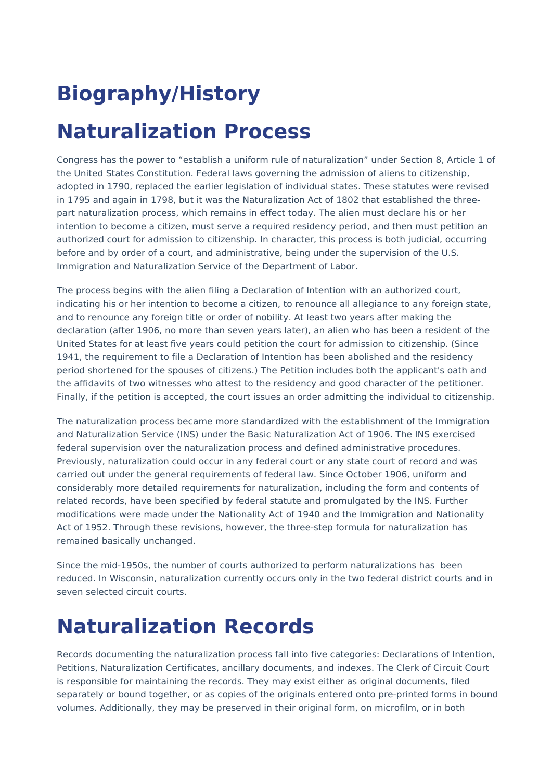# **Biography/History**

# **Naturalization Process**

Congress has the power to "establish a uniform rule of naturalization" under Section 8, Article 1 of the United States Constitution. Federal laws governing the admission of aliens to citizenship, adopted in 1790, replaced the earlier legislation of individual states. These statutes were revised in 1795 and again in 1798, but it was the Naturalization Act of 1802 that established the threepart naturalization process, which remains in effect today. The alien must declare his or her intention to become a citizen, must serve a required residency period, and then must petition an authorized court for admission to citizenship. In character, this process is both judicial, occurring before and by order of a court, and administrative, being under the supervision of the U.S. Immigration and Naturalization Service of the Department of Labor.

The process begins with the alien filing a Declaration of Intention with an authorized court, indicating his or her intention to become a citizen, to renounce all allegiance to any foreign state, and to renounce any foreign title or order of nobility. At least two years after making the declaration (after 1906, no more than seven years later), an alien who has been a resident of the United States for at least five years could petition the court for admission to citizenship. (Since 1941, the requirement to file a Declaration of Intention has been abolished and the residency period shortened for the spouses of citizens.) The Petition includes both the applicant's oath and the affidavits of two witnesses who attest to the residency and good character of the petitioner. Finally, if the petition is accepted, the court issues an order admitting the individual to citizenship.

The naturalization process became more standardized with the establishment of the Immigration and Naturalization Service (INS) under the Basic Naturalization Act of 1906. The INS exercised federal supervision over the naturalization process and defined administrative procedures. Previously, naturalization could occur in any federal court or any state court of record and was carried out under the general requirements of federal law. Since October 1906, uniform and considerably more detailed requirements for naturalization, including the form and contents of related records, have been specified by federal statute and promulgated by the INS. Further modifications were made under the Nationality Act of 1940 and the Immigration and Nationality Act of 1952. Through these revisions, however, the three-step formula for naturalization has remained basically unchanged.

Since the mid-1950s, the number of courts authorized to perform naturalizations has been reduced. In Wisconsin, naturalization currently occurs only in the two federal district courts and in seven selected circuit courts.

# **Naturalization Records**

Records documenting the naturalization process fall into five categories: Declarations of Intention, Petitions, Naturalization Certificates, ancillary documents, and indexes. The Clerk of Circuit Court is responsible for maintaining the records. They may exist either as original documents, filed separately or bound together, or as copies of the originals entered onto pre-printed forms in bound volumes. Additionally, they may be preserved in their original form, on microfilm, or in both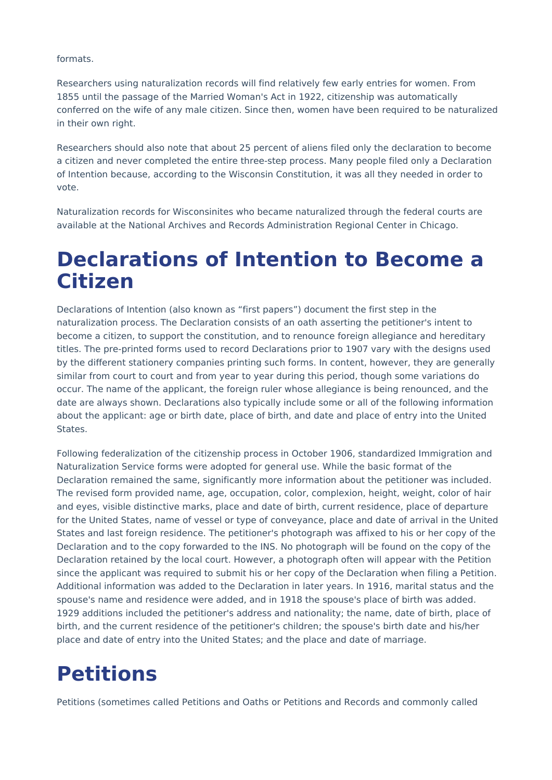formats.

Researchers using naturalization records will find relatively few early entries for women. From 1855 until the passage of the Married Woman's Act in 1922, citizenship was automatically conferred on the wife of any male citizen. Since then, women have been required to be naturalized in their own right.

Researchers should also note that about 25 percent of aliens filed only the declaration to become a citizen and never completed the entire three-step process. Many people filed only a Declaration of Intention because, according to the Wisconsin Constitution, it was all they needed in order to vote.

Naturalization records for Wisconsinites who became naturalized through the federal courts are available at the National Archives and Records Administration Regional Center in Chicago.

#### **Declarations of Intention to Become a Citizen**

Declarations of Intention (also known as "first papers") document the first step in the naturalization process. The Declaration consists of an oath asserting the petitioner's intent to become a citizen, to support the constitution, and to renounce foreign allegiance and hereditary titles. The pre-printed forms used to record Declarations prior to 1907 vary with the designs used by the different stationery companies printing such forms. In content, however, they are generally similar from court to court and from year to year during this period, though some variations do occur. The name of the applicant, the foreign ruler whose allegiance is being renounced, and the date are always shown. Declarations also typically include some or all of the following information about the applicant: age or birth date, place of birth, and date and place of entry into the United States.

Following federalization of the citizenship process in October 1906, standardized Immigration and Naturalization Service forms were adopted for general use. While the basic format of the Declaration remained the same, significantly more information about the petitioner was included. The revised form provided name, age, occupation, color, complexion, height, weight, color of hair and eyes, visible distinctive marks, place and date of birth, current residence, place of departure for the United States, name of vessel or type of conveyance, place and date of arrival in the United States and last foreign residence. The petitioner's photograph was affixed to his or her copy of the Declaration and to the copy forwarded to the INS. No photograph will be found on the copy of the Declaration retained by the local court. However, a photograph often will appear with the Petition since the applicant was required to submit his or her copy of the Declaration when filing a Petition. Additional information was added to the Declaration in later years. In 1916, marital status and the spouse's name and residence were added, and in 1918 the spouse's place of birth was added. 1929 additions included the petitioner's address and nationality; the name, date of birth, place of birth, and the current residence of the petitioner's children; the spouse's birth date and his/her place and date of entry into the United States; and the place and date of marriage.

#### **Petitions**

Petitions (sometimes called Petitions and Oaths or Petitions and Records and commonly called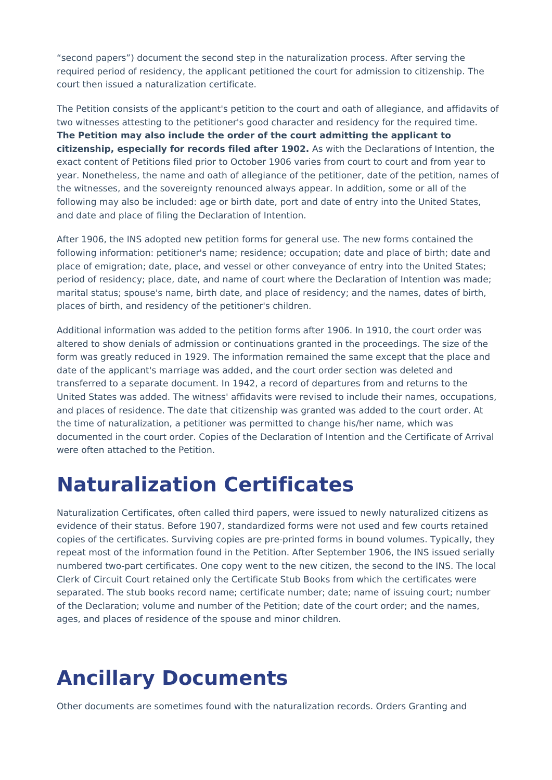"second papers") document the second step in the naturalization process. After serving the required period of residency, the applicant petitioned the court for admission to citizenship. The court then issued a naturalization certificate.

The Petition consists of the applicant's petition to the court and oath of allegiance, and affidavits of two witnesses attesting to the petitioner's good character and residency for the required time. **The Petition may also include the order of the court admitting the applicant to citizenship, especially for records filed after 1902.** As with the Declarations of Intention, the exact content of Petitions filed prior to October 1906 varies from court to court and from year to year. Nonetheless, the name and oath of allegiance of the petitioner, date of the petition, names of the witnesses, and the sovereignty renounced always appear. In addition, some or all of the following may also be included: age or birth date, port and date of entry into the United States, and date and place of filing the Declaration of Intention.

After 1906, the INS adopted new petition forms for general use. The new forms contained the following information: petitioner's name; residence; occupation; date and place of birth; date and place of emigration; date, place, and vessel or other conveyance of entry into the United States; period of residency; place, date, and name of court where the Declaration of Intention was made; marital status; spouse's name, birth date, and place of residency; and the names, dates of birth, places of birth, and residency of the petitioner's children.

Additional information was added to the petition forms after 1906. In 1910, the court order was altered to show denials of admission or continuations granted in the proceedings. The size of the form was greatly reduced in 1929. The information remained the same except that the place and date of the applicant's marriage was added, and the court order section was deleted and transferred to a separate document. In 1942, a record of departures from and returns to the United States was added. The witness' affidavits were revised to include their names, occupations, and places of residence. The date that citizenship was granted was added to the court order. At the time of naturalization, a petitioner was permitted to change his/her name, which was documented in the court order. Copies of the Declaration of Intention and the Certificate of Arrival were often attached to the Petition.

# **Naturalization Certificates**

Naturalization Certificates, often called third papers, were issued to newly naturalized citizens as evidence of their status. Before 1907, standardized forms were not used and few courts retained copies of the certificates. Surviving copies are pre-printed forms in bound volumes. Typically, they repeat most of the information found in the Petition. After September 1906, the INS issued serially numbered two-part certificates. One copy went to the new citizen, the second to the INS. The local Clerk of Circuit Court retained only the Certificate Stub Books from which the certificates were separated. The stub books record name; certificate number; date; name of issuing court; number of the Declaration; volume and number of the Petition; date of the court order; and the names, ages, and places of residence of the spouse and minor children.

# **Ancillary Documents**

Other documents are sometimes found with the naturalization records. Orders Granting and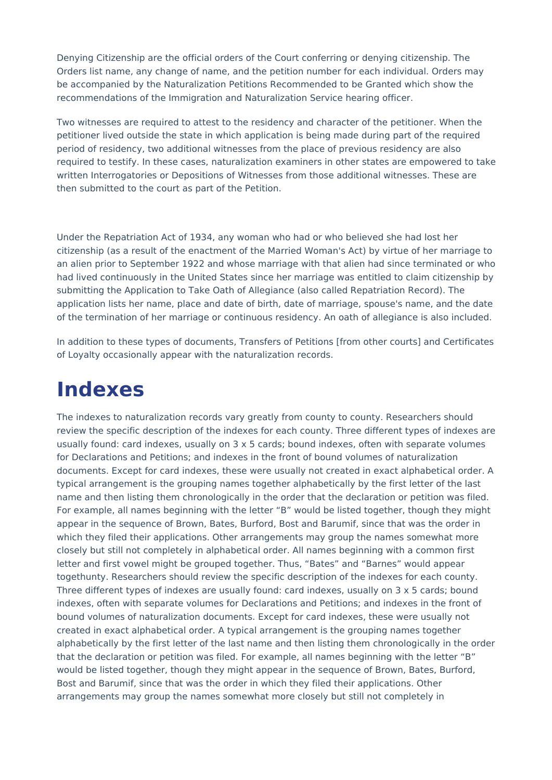Denying Citizenship are the official orders of the Court conferring or denying citizenship. The Orders list name, any change of name, and the petition number for each individual. Orders may be accompanied by the Naturalization Petitions Recommended to be Granted which show the recommendations of the Immigration and Naturalization Service hearing officer.

Two witnesses are required to attest to the residency and character of the petitioner. When the petitioner lived outside the state in which application is being made during part of the required period of residency, two additional witnesses from the place of previous residency are also required to testify. In these cases, naturalization examiners in other states are empowered to take written Interrogatories or Depositions of Witnesses from those additional witnesses. These are then submitted to the court as part of the Petition.

Under the Repatriation Act of 1934, any woman who had or who believed she had lost her citizenship (as a result of the enactment of the Married Woman's Act) by virtue of her marriage to an alien prior to September 1922 and whose marriage with that alien had since terminated or who had lived continuously in the United States since her marriage was entitled to claim citizenship by submitting the Application to Take Oath of Allegiance (also called Repatriation Record). The application lists her name, place and date of birth, date of marriage, spouse's name, and the date of the termination of her marriage or continuous residency. An oath of allegiance is also included.

In addition to these types of documents, Transfers of Petitions [from other courts] and Certificates of Loyalty occasionally appear with the naturalization records.

# **Indexes**

The indexes to naturalization records vary greatly from county to county. Researchers should review the specific description of the indexes for each county. Three different types of indexes are usually found: card indexes, usually on 3 x 5 cards; bound indexes, often with separate volumes for Declarations and Petitions; and indexes in the front of bound volumes of naturalization documents. Except for card indexes, these were usually not created in exact alphabetical order. A typical arrangement is the grouping names together alphabetically by the first letter of the last name and then listing them chronologically in the order that the declaration or petition was filed. For example, all names beginning with the letter "B" would be listed together, though they might appear in the sequence of Brown, Bates, Burford, Bost and Barumif, since that was the order in which they filed their applications. Other arrangements may group the names somewhat more closely but still not completely in alphabetical order. All names beginning with a common first letter and first vowel might be grouped together. Thus, "Bates" and "Barnes" would appear togethunty. Researchers should review the specific description of the indexes for each county. Three different types of indexes are usually found: card indexes, usually on  $3 \times 5$  cards; bound indexes, often with separate volumes for Declarations and Petitions; and indexes in the front of bound volumes of naturalization documents. Except for card indexes, these were usually not created in exact alphabetical order. A typical arrangement is the grouping names together alphabetically by the first letter of the last name and then listing them chronologically in the order that the declaration or petition was filed. For example, all names beginning with the letter "B" would be listed together, though they might appear in the sequence of Brown, Bates, Burford, Bost and Barumif, since that was the order in which they filed their applications. Other arrangements may group the names somewhat more closely but still not completely in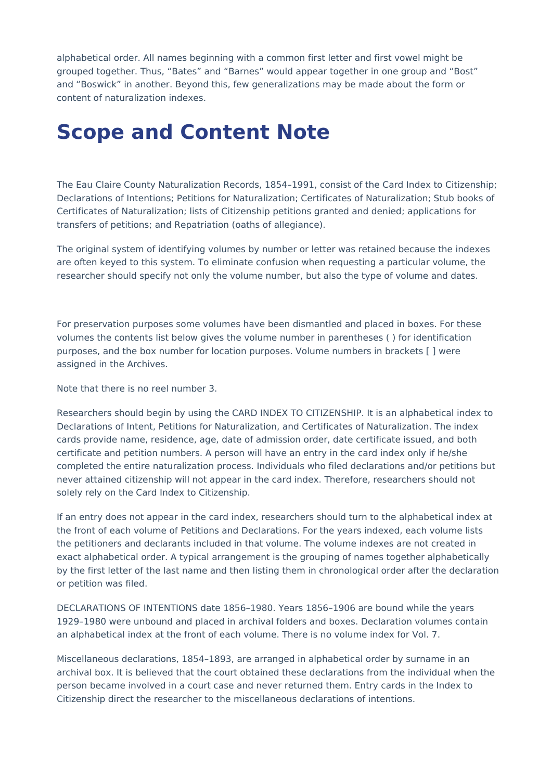alphabetical order. All names beginning with a common first letter and first vowel might be grouped together. Thus, "Bates" and "Barnes" would appear together in one group and "Bost" and "Boswick" in another. Beyond this, few generalizations may be made about the form or content of naturalization indexes.

#### **Scope and Content Note**

The Eau Claire County Naturalization Records, 1854–1991, consist of the Card Index to Citizenship; Declarations of Intentions; Petitions for Naturalization; Certificates of Naturalization; Stub books of Certificates of Naturalization; lists of Citizenship petitions granted and denied; applications for transfers of petitions; and Repatriation (oaths of allegiance).

The original system of identifying volumes by number or letter was retained because the indexes are often keyed to this system. To eliminate confusion when requesting a particular volume, the researcher should specify not only the volume number, but also the type of volume and dates.

For preservation purposes some volumes have been dismantled and placed in boxes. For these volumes the contents list below gives the volume number in parentheses ( ) for identification purposes, and the box number for location purposes. Volume numbers in brackets [ ] were assigned in the Archives.

Note that there is no reel number 3.

Researchers should begin by using the CARD INDEX TO CITIZENSHIP. It is an alphabetical index to Declarations of Intent, Petitions for Naturalization, and Certificates of Naturalization. The index cards provide name, residence, age, date of admission order, date certificate issued, and both certificate and petition numbers. A person will have an entry in the card index only if he/she completed the entire naturalization process. Individuals who filed declarations and/or petitions but never attained citizenship will not appear in the card index. Therefore, researchers should not solely rely on the Card Index to Citizenship.

If an entry does not appear in the card index, researchers should turn to the alphabetical index at the front of each volume of Petitions and Declarations. For the years indexed, each volume lists the petitioners and declarants included in that volume. The volume indexes are not created in exact alphabetical order. A typical arrangement is the grouping of names together alphabetically by the first letter of the last name and then listing them in chronological order after the declaration or petition was filed.

DECLARATIONS OF INTENTIONS date 1856–1980. Years 1856–1906 are bound while the years 1929–1980 were unbound and placed in archival folders and boxes. Declaration volumes contain an alphabetical index at the front of each volume. There is no volume index for Vol. 7.

Miscellaneous declarations, 1854–1893, are arranged in alphabetical order by surname in an archival box. It is believed that the court obtained these declarations from the individual when the person became involved in a court case and never returned them. Entry cards in the Index to Citizenship direct the researcher to the miscellaneous declarations of intentions.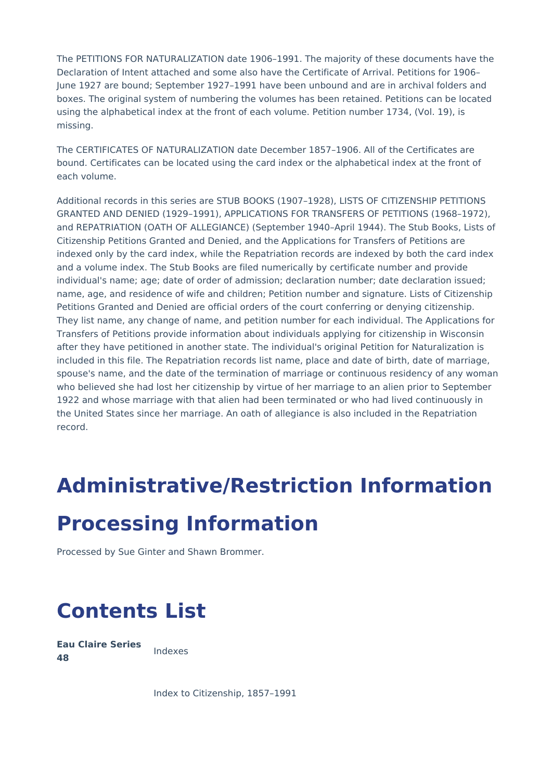The PETITIONS FOR NATURALIZATION date 1906–1991. The majority of these documents have the Declaration of Intent attached and some also have the Certificate of Arrival. Petitions for 1906– June 1927 are bound; September 1927–1991 have been unbound and are in archival folders and boxes. The original system of numbering the volumes has been retained. Petitions can be located using the alphabetical index at the front of each volume. Petition number 1734, (Vol. 19), is missing.

The CERTIFICATES OF NATURALIZATION date December 1857–1906. All of the Certificates are bound. Certificates can be located using the card index or the alphabetical index at the front of each volume.

Additional records in this series are STUB BOOKS (1907–1928), LISTS OF CITIZENSHIP PETITIONS GRANTED AND DENIED (1929–1991), APPLICATIONS FOR TRANSFERS OF PETITIONS (1968–1972), and REPATRIATION (OATH OF ALLEGIANCE) (September 1940–April 1944). The Stub Books, Lists of Citizenship Petitions Granted and Denied, and the Applications for Transfers of Petitions are indexed only by the card index, while the Repatriation records are indexed by both the card index and a volume index. The Stub Books are filed numerically by certificate number and provide individual's name; age; date of order of admission; declaration number; date declaration issued; name, age, and residence of wife and children; Petition number and signature. Lists of Citizenship Petitions Granted and Denied are official orders of the court conferring or denying citizenship. They list name, any change of name, and petition number for each individual. The Applications for Transfers of Petitions provide information about individuals applying for citizenship in Wisconsin after they have petitioned in another state. The individual's original Petition for Naturalization is included in this file. The Repatriation records list name, place and date of birth, date of marriage, spouse's name, and the date of the termination of marriage or continuous residency of any woman who believed she had lost her citizenship by virtue of her marriage to an alien prior to September 1922 and whose marriage with that alien had been terminated or who had lived continuously in the United States since her marriage. An oath of allegiance is also included in the Repatriation record.

# **Administrative/Restriction Information**

#### **Processing Information**

Processed by Sue Ginter and Shawn Brommer.

# **Contents List**

**Eau Claire Series 48** Indexes

Index to Citizenship, 1857–1991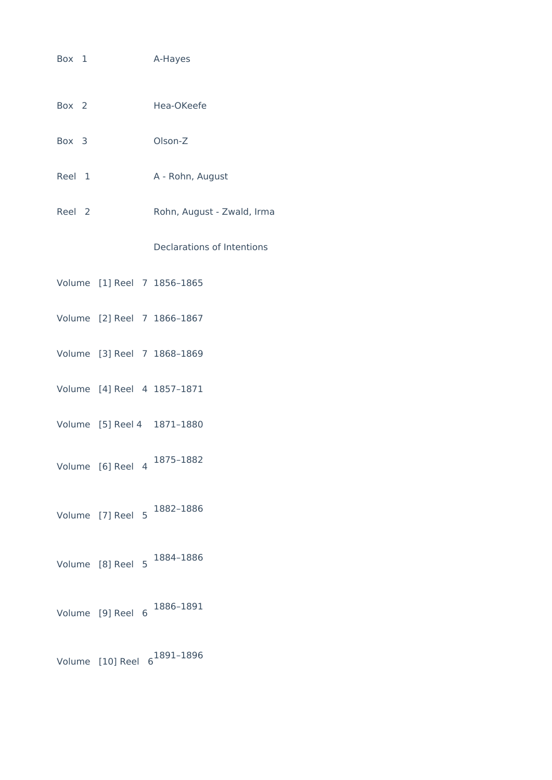- Box 1 A-Hayes
- Box 2 Hea-OKeefe
- Box 3 Olson-Z
- Reel 1 A Rohn, August
- Reel 2 Rohn, August Zwald, Irma

Declarations of Intentions

- Volume [1] Reel 7 1856–1865
- Volume [2] Reel 7 1866–1867
- Volume [3] Reel 7 1868–1869
- Volume [4] Reel 4 1857–1871
- Volume [5] Reel 4 1871–1880
- Volume [6] Reel 4 1875–1882
- Volume [7] Reel 5 1882–1886
- Volume [8] Reel 5 1884–1886
- Volume [9] Reel 6 1886–1891

Volume [10] Reel 6 1891–1896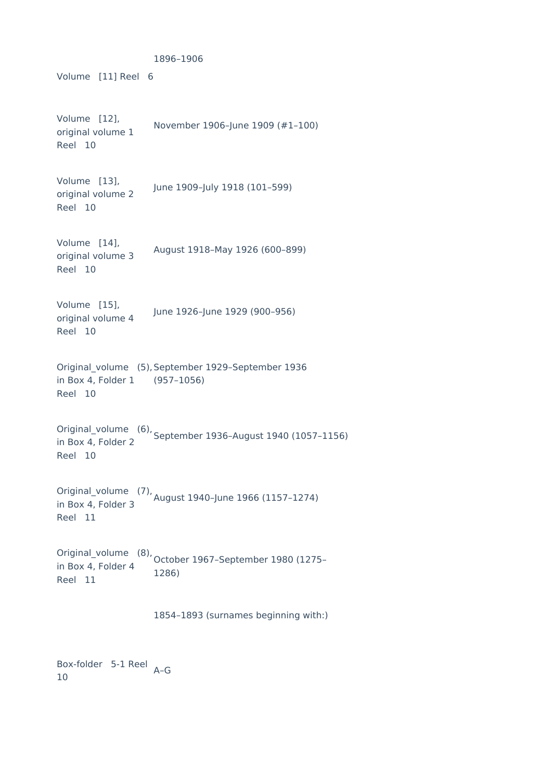Volume [11] Reel 6 1896–1906 Volume [12], original volume 1 Reel 10 November 1906–June 1909 (#1–100) Volume [13], original volume 2 Reel 10 June 1909–July 1918 (101–599) Volume [14], original volume 3 Reel 10 August 1918–May 1926 (600–899) Volume [15], original volume 4 Reel 10 June 1926–June 1929 (900–956) Original\_volume (5), September 1929–September 1936 in Box 4, Folder 1 Reel 10 (957–1056) Original\_volume (6), September 1936–August 1940 (1057–1156) in Box 4, Folder 2 Reel 10 Original\_volume (7), August 1940–June 1966 (1157–1274) in Box 4, Folder 3 Reel 11 Original\_volume (8), in Box 4, Folder 4 October 1967–September 1980 (1275– Reel 11 1286) 1854–1893 (surnames beginning with:) Box-folder 5-1 Reel A–G

10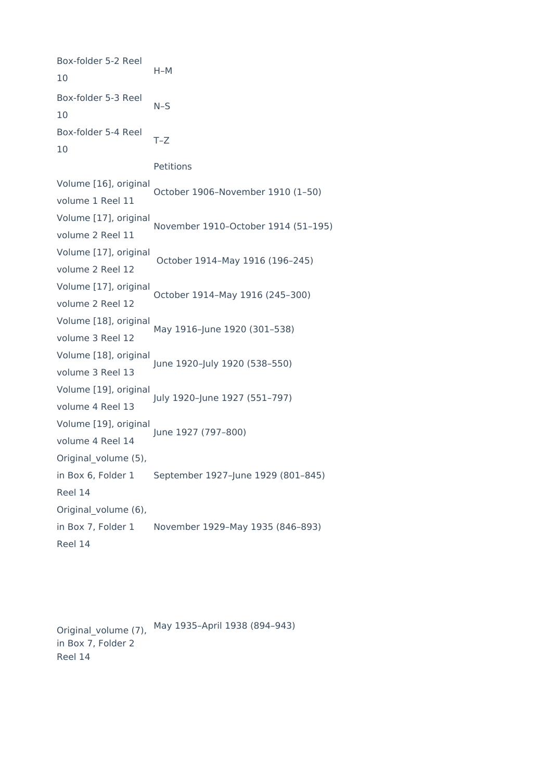Box-folder 5-2 Reel 10 H–M Box-folder 5-3 Reel 10 N–S Box-folder 5-4 Reel 10 T–Z Petitions Volume [16], original volume 1 Reel 11 October 1906–November 1910 (1–50) Volume [17], original volume 2 Reel 11 November 1910–October 1914 (51–195) Volume [17], original volume 2 Reel 12 October 1914–May 1916 (196–245) Volume [17], original volume 2 Reel 12 October 1914–May 1916 (245–300) Volume [18], original volume 3 Reel 12 May 1916–June 1920 (301–538) Volume [18], original volume 3 Reel 13 June 1920–July 1920 (538–550) Volume [19], original volume 4 Reel 13 July 1920–June 1927 (551–797) Volume [19], original volume 4 Reel 14 June 1927 (797–800) Original volume (5), in Box 6, Folder 1 Reel 14 September 1927–June 1929 (801–845) Original\_volume (6), in Box 7, Folder 1 Reel 14 November 1929–May 1935 (846–893)

Original volume (7), in Box 7, Folder 2 Reel 14 May 1935–April 1938 (894–943)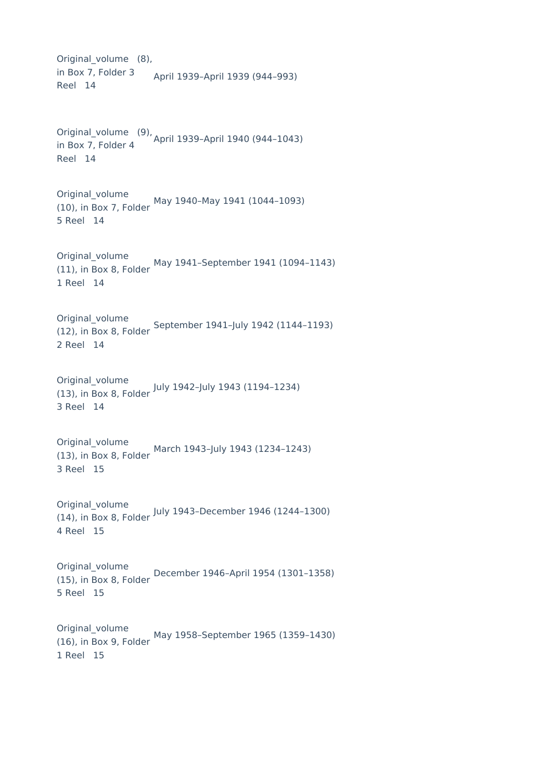Original volume (8), in Box 7, Folder 3 Reel 14 April 1939–April 1939 (944–993) Original\_volume (9), April 1939–April 1940 (944–1043) in Box 7, Folder 4 Reel 14 Original\_volume (10), in Box 7, Folder May 1940–May 1941 (1044–1093) 5 Reel 14 Original\_volume (11), in Box 8, Folder May 1941–September 1941 (1094–1143) 1 Reel 14 Original\_volume (12), in Box 8, Folder September 1941–July 1942 (1144–1193) 2 Reel 14 Original\_volume (13), in Box 8, Folder July 1942–July 1943 (1194–1234) 3 Reel 14 Original\_volume (13), in Box 8, Folder March 1943–July 1943 (1234–1243) 3 Reel 15 Original\_volume (14), in Box 8, Folder July 1943–December 1946 (1244–1300) 4 Reel 15 Original\_volume (15), in Box 8, Folder December 1946–April 1954 (1301–1358) 5 Reel 15 Original\_volume (16), in Box 9, Folder 1 Reel 15 May 1958–September 1965 (1359–1430)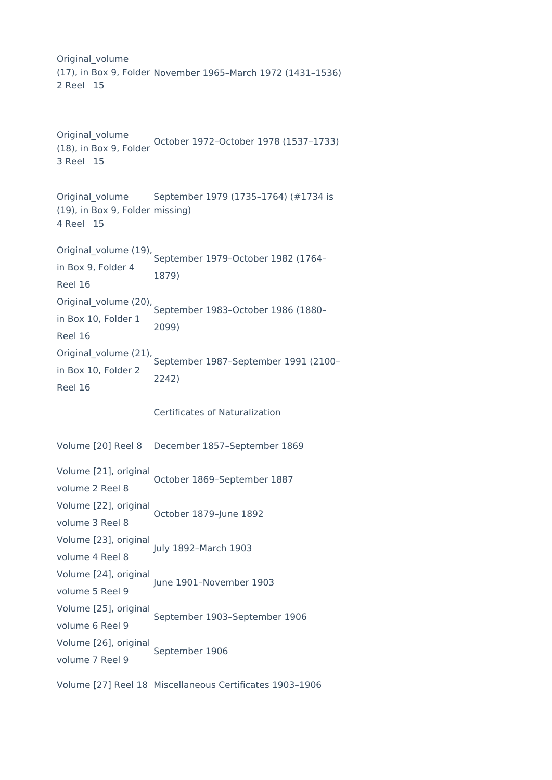Original\_volume (17), in Box 9, Folder November 1965–March 1972 (1431–1536) 2 Reel 15

```
Original_volume
(18), in Box 9, Folder
October 1972–October 1978 (1537–1733)
3 Reel 15
```

```
Original_volume
(19), in Box 9, Folder
missing)
4 Reel 15
                    September 1979 (1735–1764) (#1734 is
```
Original\_volume (19), in Box 9, Folder 4 Reel 16 September 1979–October 1982 (1764– 1879) Original\_volume (20), in Box 10, Folder 1 Reel 16 September 1983–October 1986 (1880– 2099) Original\_volume (21), in Box 10, Folder 2 September 1987–September 1991 (2100– 2242)

Certificates of Naturalization

Volume [20] Reel 8 December 1857–September 1869

Reel 16

| Volume [21], original | October 1869-September 1887   |
|-----------------------|-------------------------------|
| volume 2 Reel 8       |                               |
| Volume [22], original | October 1879-June 1892        |
| volume 3 Reel 8       |                               |
| Volume [23], original | July 1892-March 1903          |
| volume 4 Reel 8       |                               |
| Volume [24], original | June 1901-November 1903       |
| volume 5 Reel 9       |                               |
| Volume [25], original | September 1903-September 1906 |
| volume 6 Reel 9       |                               |
| Volume [26], original | September 1906                |
| volume 7 Reel 9       |                               |
|                       |                               |

Volume [27] Reel 18 Miscellaneous Certificates 1903–1906